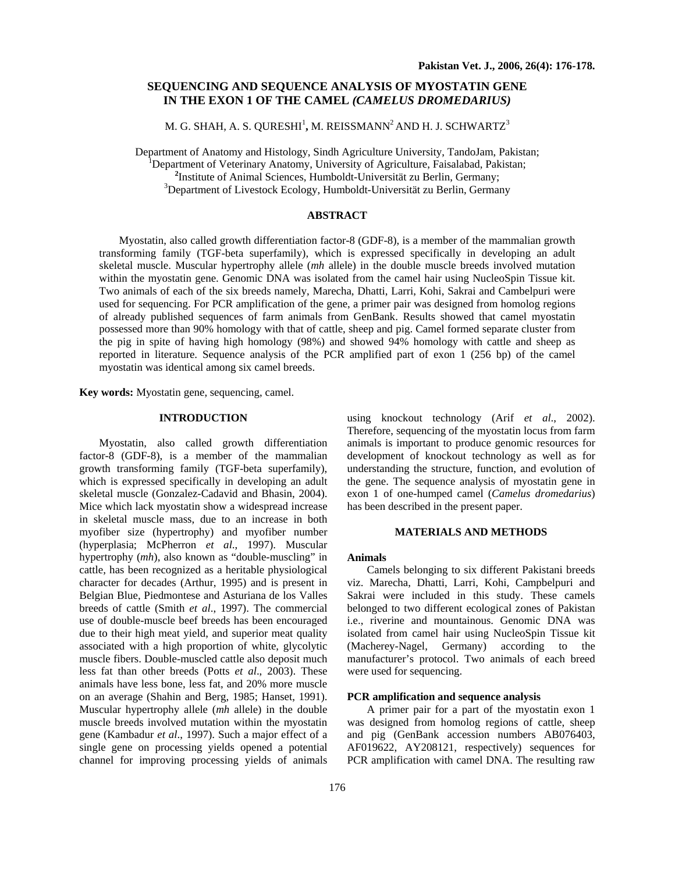# **SEQUENCING AND SEQUENCE ANALYSIS OF MYOSTATIN GENE IN THE EXON 1 OF THE CAMEL** *(CAMELUS DROMEDARIUS)*

M. G. SHAH, A. S. QURESHI<sup>1</sup>, M. REISSMANN<sup>2</sup> AND H. J. SCHWARTZ<sup>3</sup>

Department of Anatomy and Histology, Sindh Agriculture University, TandoJam, Pakistan; 1

Department of Veterinary Anatomy, University of Agriculture, Faisalabad, Pakistan; **<sup>2</sup>**

<sup>2</sup>Institute of Animal Sciences, Humboldt-Universität zu Berlin, Germany;

 $3$ Department of Livestock Ecology, Humboldt-Universität zu Berlin, Germany

## **ABSTRACT**

Myostatin, also called growth differentiation factor-8 (GDF-8), is a member of the mammalian growth transforming family (TGF-beta superfamily), which is expressed specifically in developing an adult skeletal muscle. Muscular hypertrophy allele (*mh* allele) in the double muscle breeds involved mutation within the myostatin gene. Genomic DNA was isolated from the camel hair using NucleoSpin Tissue kit. Two animals of each of the six breeds namely, Marecha, Dhatti, Larri, Kohi, Sakrai and Cambelpuri were used for sequencing. For PCR amplification of the gene, a primer pair was designed from homolog regions of already published sequences of farm animals from GenBank. Results showed that camel myostatin possessed more than 90% homology with that of cattle, sheep and pig. Camel formed separate cluster from the pig in spite of having high homology (98%) and showed 94% homology with cattle and sheep as reported in literature. Sequence analysis of the PCR amplified part of exon 1 (256 bp) of the camel myostatin was identical among six camel breeds.

**Key words:** Myostatin gene, sequencing, camel.

## **INTRODUCTION**

 Myostatin, also called growth differentiation factor-8 (GDF-8), is a member of the mammalian growth transforming family (TGF-beta superfamily), which is expressed specifically in developing an adult skeletal muscle (Gonzalez-Cadavid and Bhasin, 2004). Mice which lack myostatin show a widespread increase in skeletal muscle mass, due to an increase in both myofiber size (hypertrophy) and myofiber number (hyperplasia; McPherron *et al*., 1997). Muscular hypertrophy (*mh*), also known as "double-muscling" in cattle, has been recognized as a heritable physiological character for decades (Arthur, 1995) and is present in Belgian Blue, Piedmontese and Asturiana de los Valles breeds of cattle (Smith *et al*., 1997). The commercial use of double-muscle beef breeds has been encouraged due to their high meat yield, and superior meat quality associated with a high proportion of white, glycolytic muscle fibers. Double-muscled cattle also deposit much less fat than other breeds (Potts *et al*., 2003). These animals have less bone, less fat, and 20% more muscle on an average (Shahin and Berg, 1985; Hanset, 1991). Muscular hypertrophy allele (*mh* allele) in the double muscle breeds involved mutation within the myostatin gene (Kambadur *et al*., 1997). Such a major effect of a single gene on processing yields opened a potential channel for improving processing yields of animals

using knockout technology (Arif *et al*., 2002). Therefore, sequencing of the myostatin locus from farm animals is important to produce genomic resources for development of knockout technology as well as for understanding the structure, function, and evolution of the gene. The sequence analysis of myostatin gene in exon 1 of one-humped camel (*Camelus dromedarius*) has been described in the present paper.

#### **MATERIALS AND METHODS**

#### **Animals**

Camels belonging to six different Pakistani breeds viz. Marecha, Dhatti, Larri, Kohi, Campbelpuri and Sakrai were included in this study. These camels belonged to two different ecological zones of Pakistan i.e., riverine and mountainous. Genomic DNA was isolated from camel hair using NucleoSpin Tissue kit (Macherey-Nagel, Germany) according to the manufacturer's protocol. Two animals of each breed were used for sequencing.

## **PCR amplification and sequence analysis**

 A primer pair for a part of the myostatin exon 1 was designed from homolog regions of cattle, sheep and pig (GenBank accession numbers AB076403, AF019622, AY208121, respectively) sequences for PCR amplification with camel DNA. The resulting raw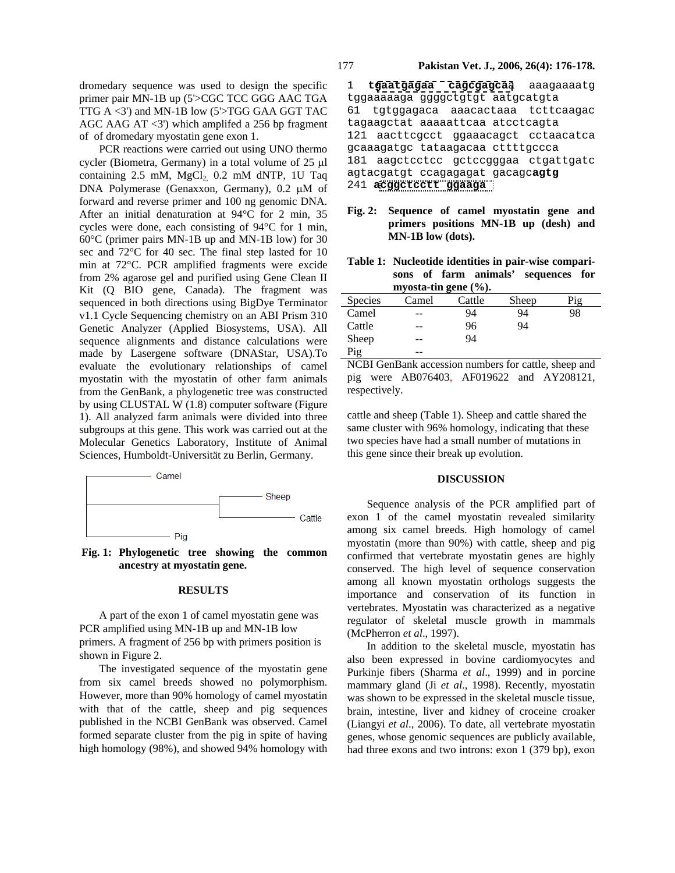dromedary sequence was used to design the specific primer pair MN-1B up (5'>CGC TCC GGG AAC TGA TTG A <3') and MN-1B low (5'>TGG GAA GGT TAC AGC AAG AT  $\langle 3' \rangle$  which amplifed a 256 bp fragment of of dromedary myostatin gene exon 1.

PCR reactions were carried out using UNO thermo cycler (Biometra, Germany) in a total volume of 25 µl containing  $2.5$  mM,  $MgCl<sub>2</sub>$  0.2 mM dNTP, 1U Taq DNA Polymerase (Genaxxon, Germany), 0.2 µM of forward and reverse primer and 100 ng genomic DNA. After an initial denaturation at 94°C for 2 min, 35 cycles were done, each consisting of 94°C for 1 min, 60°C (primer pairs MN-1B up and MN-1B low) for 30 sec and 72°C for 40 sec. The final step lasted for 10 min at 72°C. PCR amplified fragments were excide from 2% agarose gel and purified using Gene Clean II Kit (Q BIO gene, Canada). The fragment was sequenced in both directions using BigDye Terminator v1.1 Cycle Sequencing chemistry on an ABI Prism 310 Genetic Analyzer (Applied Biosystems, USA). All sequence alignments and distance calculations were made by Lasergene software (DNAStar, USA).To evaluate the evolutionary relationships of camel myostatin with the myostatin of other farm animals from the GenBank, a phylogenetic tree was constructed by using CLUSTAL W (1.8) computer software (Figure 1). All analyzed farm animals were divided into three subgroups at this gene. This work was carried out at the Molecular Genetics Laboratory, Institute of Animal Sciences, Humboldt-Universität zu Berlin, Germany.



**Fig. 1: Phylogenetic tree showing the common ancestry at myostatin gene.** 

### **RESULTS**

 A part of the exon 1 of camel myostatin gene was PCR amplified using MN-1B up and MN-1B low primers. A fragment of 256 bp with primers position is shown in Figure 2.

 The investigated sequence of the myostatin gene from six camel breeds showed no polymorphism. However, more than 90% homology of camel myostatin with that of the cattle, sheep and pig sequences published in the NCBI GenBank was observed. Camel formed separate cluster from the pig in spite of having high homology (98%), and showed 94% homology with 1 **tgaatgagaa cagcgagca**a aaagaaaatg tggaaaaaga ggggctgtgt aatgcatgta 61 tgtggagaca aaacactaaa tcttcaagac tagaagctat aaaaattcaa atcctcagta 121 aacttcgcct ggaaacagct cctaacatca gcaaagatgc tataagacaa cttttgccca 181 aagctcctcc gctccgggaa ctgattgatc agtacgatgt ccagagagat gacagc**agtg** 241 **acggctcctt ggaaga**

**Fig. 2: Sequence of camel myostatin gene and primers positions MN-1B up (desh) and MN-1B low (dots).**

| Table 1: Nucleotide identities in pair-wise compari- |  |  |  |                                     |  |  |  |  |
|------------------------------------------------------|--|--|--|-------------------------------------|--|--|--|--|
|                                                      |  |  |  | sons of farm animals' sequences for |  |  |  |  |
| myosta-tin gene $(\%).$                              |  |  |  |                                     |  |  |  |  |

| <b>Species</b> | Camel | Cattle | Sheep | Pig |  |
|----------------|-------|--------|-------|-----|--|
| Camel          | --    | 94     | 94    | 98  |  |
| Cattle         | --    | 96     | 94    |     |  |
| Sheep          | $- -$ | 94     |       |     |  |
| Pig            | --    |        |       |     |  |

NCBI GenBank accession numbers for cattle, sheep and pig were AB076403, AF019622 and AY208121, respectively.

cattle and sheep (Table 1). Sheep and cattle shared the same cluster with 96% homology, indicating that these two species have had a small number of mutations in this gene since their break up evolution.

#### **DISCUSSION**

Sequence analysis of the PCR amplified part of exon 1 of the camel myostatin revealed similarity among six camel breeds. High homology of camel myostatin (more than 90%) with cattle, sheep and pig confirmed that vertebrate myostatin genes are highly conserved. The high level of sequence conservation among all known myostatin orthologs suggests the importance and conservation of its function in vertebrates. Myostatin was characterized as a negative regulator of skeletal muscle growth in mammals (McPherron *et al*., 1997).

In addition to the skeletal muscle, myostatin has also been expressed in bovine cardiomyocytes and Purkinje fibers (Sharma *et al*., 1999) and in porcine mammary gland (Ji *et al*., 1998). Recently, myostatin was shown to be expressed in the skeletal muscle tissue, brain, intestine, liver and kidney of croceine croaker (Liangyi *et al*., 2006). To date, all vertebrate myostatin genes, whose genomic sequences are publicly available, had three exons and two introns: exon 1 (379 bp), exon